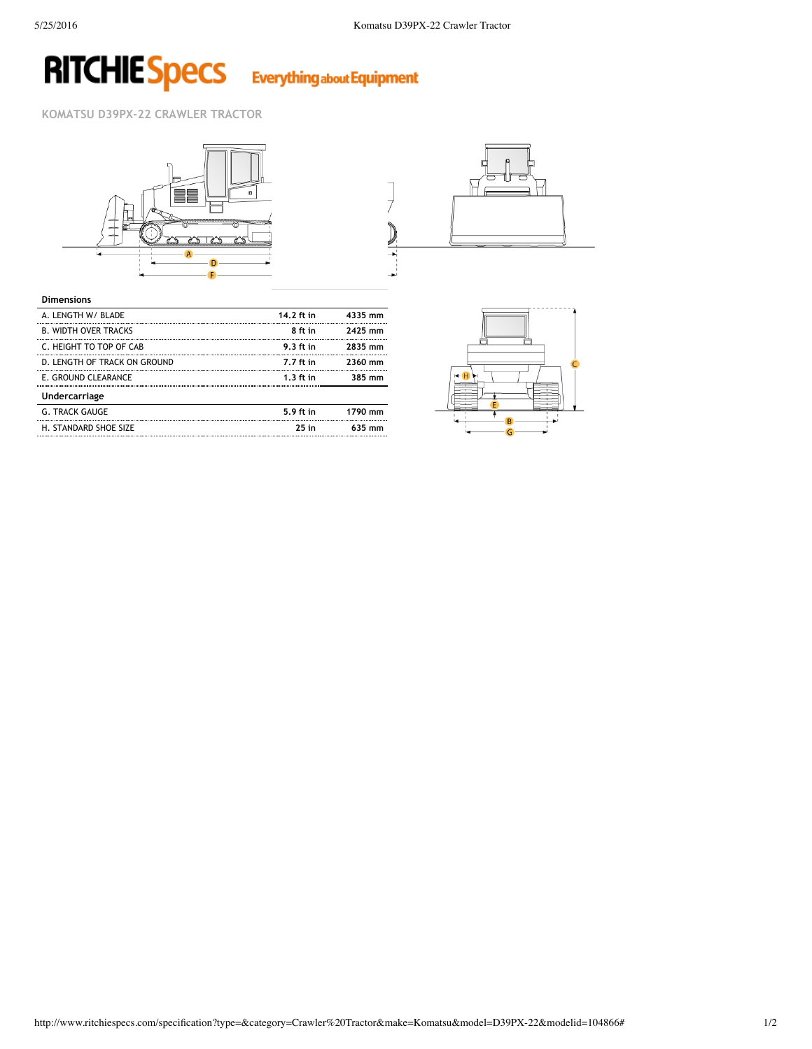## **RITCHIE Specs Everything about Equipment**

**KOMATSU D39PX‐22 CRAWLER TRACTOR**





| <b>Dimensions</b>            |             |         |
|------------------------------|-------------|---------|
| A. LENGTH W/ BLADE           | 14.2 ft in  | 4335 mm |
| <b>B. WIDTH OVER TRACKS</b>  | 8 ft in     | 2425 mm |
| C. HEIGHT TO TOP OF CAB      | 9.3 ft in   | 2835 mm |
| D. LENGTH OF TRACK ON GROUND | 7.7 ft in   | 2360 mm |
| E. GROUND CLEARANCE          | $1.3$ ft in | 385 mm  |
| <b>Undercarriage</b>         |             |         |
| <b>G. TRACK GAUGE</b>        | 5.9 ft in   | 1790 mm |
| H. STANDARD SHOE SIZE        | $25$ in     | 635 mm  |
|                              |             |         |